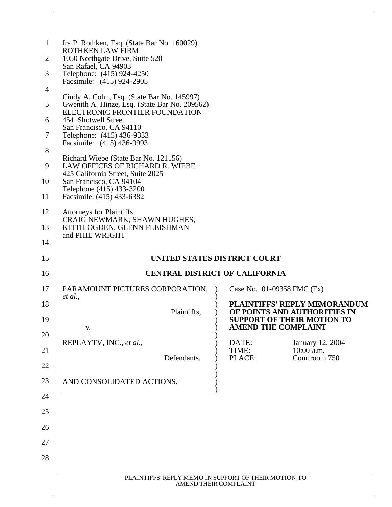| $\mathbf{1}$   | Ira P. Rothken, Esq. (State Bar No. 160029)                                                 |                                                                   |
|----------------|---------------------------------------------------------------------------------------------|-------------------------------------------------------------------|
| $\overline{2}$ | <b>ROTHKEN LAW FIRM</b><br>1050 Northgate Drive, Suite 520                                  |                                                                   |
| 3              | San Rafael, CA 94903<br>Telephone: (415) 924-4250                                           |                                                                   |
| $\overline{4}$ | Facsimile: (415) 924-2905                                                                   |                                                                   |
| 5              | Cindy A. Cohn, Esq. (State Bar No. 145997)<br>Gwenith A. Hinze, Esq. (State Bar No. 209562) |                                                                   |
| 6              | ELECTRONIC FRONTIER FOUNDATION<br>454 Shotwell Street                                       |                                                                   |
| 7              | San Francisco, CA 94110<br>Telephone: (415) 436-9333                                        |                                                                   |
| 8              | Facsimile: (415) 436-9993                                                                   |                                                                   |
|                | Richard Wiebe (State Bar No. 121156)                                                        |                                                                   |
| 9              | LAW OFFICES OF RICHARD R. WIEBE<br>425 California Street, Suite 2025                        |                                                                   |
| 10             | San Francisco, CA 94104<br>Telephone (415) 433-3200                                         |                                                                   |
| 11             | Facsimile: (415) 433-6382                                                                   |                                                                   |
| 12             | <b>Attorneys for Plaintiffs</b><br>CRAIG NEWMARK, SHAWN HUGHES,                             |                                                                   |
| 13             | KEITH OGDEN, GLENN FLEISHMAN<br>and PHIL WRIGHT                                             |                                                                   |
| 14             |                                                                                             |                                                                   |
| 15             | UNITED STATES DISTRICT COURT                                                                |                                                                   |
| 16             | <b>CENTRAL DISTRICT OF CALIFORNIA</b>                                                       |                                                                   |
| 17             | PARAMOUNT PICTURES CORPORATION,<br>et al.,                                                  | Case No. 01-09358 FMC (Ex)                                        |
|                |                                                                                             |                                                                   |
| 18             |                                                                                             | PLAINTIFFS' REPLY MEMORANDUM                                      |
| 19             | Plaintiffs,                                                                                 | OF POINTS AND AUTHORITIES IN<br><b>SUPPORT OF THEIR MOTION TO</b> |
| 20             | V.                                                                                          | <b>AMEND THE COMPLAINT</b>                                        |
| 21             | REPLAYTV, INC., et al.,                                                                     | DATE:<br>January 12, 2004<br>10:00 a.m.<br>TIME:                  |
| 22             | Defendants.                                                                                 | Courtroom 750<br>PLACE:                                           |
| 23             | AND CONSOLIDATED ACTIONS.                                                                   |                                                                   |
| 24             |                                                                                             |                                                                   |
| 25             |                                                                                             |                                                                   |
| 26             |                                                                                             |                                                                   |
|                |                                                                                             |                                                                   |
| 27             |                                                                                             |                                                                   |
| 28             |                                                                                             |                                                                   |
|                | PLAINTIFFS' REPLY MEMO IN SUPPORT OF THEIR MOTION TO<br>AMEND THEIR COMPLAINT               |                                                                   |

∥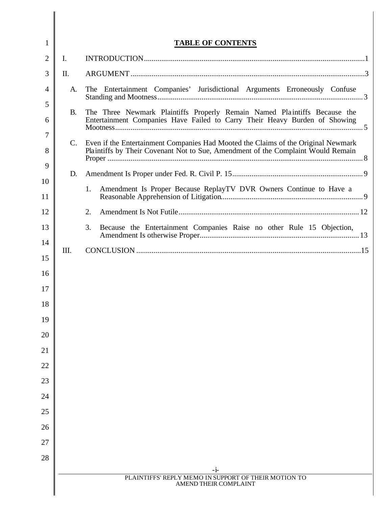| 1              |             | <b>TABLE OF CONTENTS</b>                                                                                                                                |
|----------------|-------------|---------------------------------------------------------------------------------------------------------------------------------------------------------|
| $\overline{2}$ | I.          |                                                                                                                                                         |
| 3              | П.          |                                                                                                                                                         |
| 4              | A.          | The Entertainment Companies' Jurisdictional Arguments Erroneously Confuse                                                                               |
| 5              |             |                                                                                                                                                         |
| 6              | <b>B.</b>   | The Three Newmark Plaintiffs Properly Remain Named Plaintiffs Because the<br>Entertainment Companies Have Failed to Carry Their Heavy Burden of Showing |
| 7              | $C_{\cdot}$ | Even if the Entertainment Companies Had Mooted the Claims of the Original Newmark                                                                       |
| 8              |             | Plaintiffs by Their Covenant Not to Sue, Amendment of the Complaint Would Remain                                                                        |
| 9              | D.          |                                                                                                                                                         |
| 10<br>11       |             | Amendment Is Proper Because ReplayTV DVR Owners Continue to Have a<br>1.                                                                                |
| 12             |             | 2.                                                                                                                                                      |
| 13             |             | 3.<br>Because the Entertainment Companies Raise no other Rule 15 Objection,                                                                             |
| 14             |             |                                                                                                                                                         |
| 15             | Ш.          |                                                                                                                                                         |
| 16             |             |                                                                                                                                                         |
| 17             |             |                                                                                                                                                         |
| 18             |             |                                                                                                                                                         |
| 19             |             |                                                                                                                                                         |
| 20             |             |                                                                                                                                                         |
| 21             |             |                                                                                                                                                         |
| 22             |             |                                                                                                                                                         |
| 23             |             |                                                                                                                                                         |
| 24             |             |                                                                                                                                                         |
| 25             |             |                                                                                                                                                         |
| 26             |             |                                                                                                                                                         |
| 27             |             |                                                                                                                                                         |
| 28             |             |                                                                                                                                                         |
|                |             | $-1-$<br>PLAINTIFFS' REPLY MEMO IN SUPPORT OF THEIR MOTION TO                                                                                           |
|                |             | AMEND THEIR COMPLAINT                                                                                                                                   |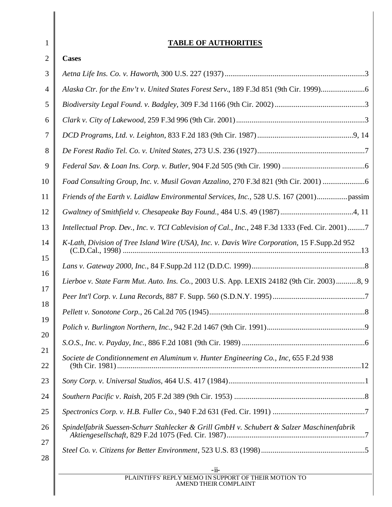| 1        | <b>TABLE OF AUTHORITIES</b>                                                                     |
|----------|-------------------------------------------------------------------------------------------------|
| 2        | <b>Cases</b>                                                                                    |
| 3        |                                                                                                 |
| 4        | Alaska Ctr. for the Env't v. United States Forest Serv., 189 F.3d 851 (9th Cir. 1999)6          |
| 5        |                                                                                                 |
| 6        |                                                                                                 |
| 7        |                                                                                                 |
| 8        |                                                                                                 |
| 9        |                                                                                                 |
| 10       | Foad Consulting Group, Inc. v. Musil Govan Azzalino, 270 F.3d 821 (9th Cir. 2001)               |
| 11       | Friends of the Earth v. Laidlaw Environmental Services, Inc., 528 U.S. 167 (2001)               |
| 12       |                                                                                                 |
| 13       | Intellectual Prop. Dev., Inc. v. TCI Cablevision of Cal., Inc., 248 F.3d 1333 (Fed. Cir. 2001)7 |
| 14       | K-Lath, Division of Tree Island Wire (USA), Inc. v. Davis Wire Corporation, 15 F.Supp.2d 952    |
| 15       |                                                                                                 |
| 16       | Lierboe v. State Farm Mut. Auto. Ins. Co., 2003 U.S. App. LEXIS 24182 (9th Cir. 2003)8, 9       |
| 17       |                                                                                                 |
| 18       |                                                                                                 |
| 19<br>20 |                                                                                                 |
| 21       |                                                                                                 |
| 22       | Societe de Conditionnement en Aluminum v. Hunter Engineering Co., Inc. 655 F.2d 938             |
| 23       |                                                                                                 |
| 24       |                                                                                                 |
| 25       |                                                                                                 |
| 26       | Spindelfabrik Suessen-Schurr Stahlecker & Grill GmbH v. Schubert & Salzer Maschinenfabrik       |
| 27<br>28 |                                                                                                 |
|          | $-ii-$<br>PLAINTIFFS' REPLY MEMO IN SUPPORT OF THEIR MOTION TO                                  |
|          | AMEND THEIR COMPLAINT                                                                           |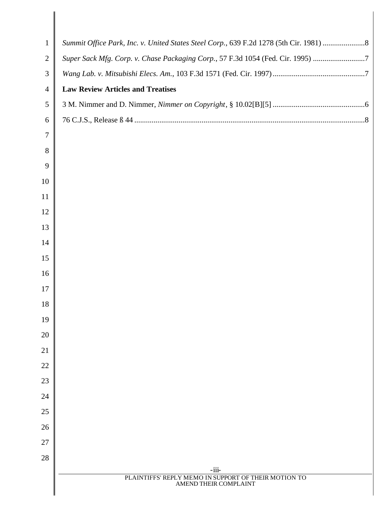| $\mathbf{1}$<br>$\mathbf{2}$<br>3<br>$\overline{4}$<br>5<br>6<br>$\overline{7}$<br>8<br>9<br>10<br>11<br>12<br>13<br>14<br>15<br>16<br>17 | Summit Office Park, Inc. v. United States Steel Corp., 639 F.2d 1278 (5th Cir. 1981) 8<br>Super Sack Mfg. Corp. v. Chase Packaging Corp., 57 F.3d 1054 (Fed. Cir. 1995) 7<br><b>Law Review Articles and Treatises</b> |
|-------------------------------------------------------------------------------------------------------------------------------------------|-----------------------------------------------------------------------------------------------------------------------------------------------------------------------------------------------------------------------|
|                                                                                                                                           |                                                                                                                                                                                                                       |
|                                                                                                                                           |                                                                                                                                                                                                                       |
|                                                                                                                                           |                                                                                                                                                                                                                       |
|                                                                                                                                           |                                                                                                                                                                                                                       |
|                                                                                                                                           |                                                                                                                                                                                                                       |
|                                                                                                                                           |                                                                                                                                                                                                                       |
|                                                                                                                                           |                                                                                                                                                                                                                       |
|                                                                                                                                           |                                                                                                                                                                                                                       |
|                                                                                                                                           |                                                                                                                                                                                                                       |
|                                                                                                                                           |                                                                                                                                                                                                                       |
|                                                                                                                                           |                                                                                                                                                                                                                       |
|                                                                                                                                           |                                                                                                                                                                                                                       |
|                                                                                                                                           |                                                                                                                                                                                                                       |
|                                                                                                                                           |                                                                                                                                                                                                                       |
|                                                                                                                                           |                                                                                                                                                                                                                       |
|                                                                                                                                           |                                                                                                                                                                                                                       |
|                                                                                                                                           |                                                                                                                                                                                                                       |
| 18                                                                                                                                        |                                                                                                                                                                                                                       |
| 19                                                                                                                                        |                                                                                                                                                                                                                       |
| 20                                                                                                                                        |                                                                                                                                                                                                                       |
| 21                                                                                                                                        |                                                                                                                                                                                                                       |
| 22                                                                                                                                        |                                                                                                                                                                                                                       |
| 23                                                                                                                                        |                                                                                                                                                                                                                       |
| 24                                                                                                                                        |                                                                                                                                                                                                                       |
| 25                                                                                                                                        |                                                                                                                                                                                                                       |
| 26                                                                                                                                        |                                                                                                                                                                                                                       |
| 27                                                                                                                                        |                                                                                                                                                                                                                       |
| 28                                                                                                                                        |                                                                                                                                                                                                                       |
|                                                                                                                                           | $-iii-$<br>PLAINTIFFS' REPLY MEMO IN SUPPORT OF THEIR MOTION TO                                                                                                                                                       |
|                                                                                                                                           | AMEND THEIR COMPLAINT                                                                                                                                                                                                 |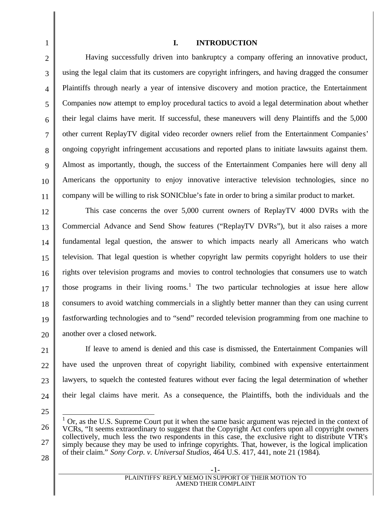# **I. INTRODUCTION**

Having successfully driven into bankruptcy a company offering an innovative product, using the legal claim that its customers are copyright infringers, and having dragged the consumer Plaintiffs through nearly a year of intensive discovery and motion practice, the Entertainment Companies now attempt to employ procedural tactics to avoid a legal determination about whether their legal claims have merit. If successful, these maneuvers will deny Plaintiffs and the 5,000 other current ReplayTV digital video recorder owners relief from the Entertainment Companies' ongoing copyright infringement accusations and reported plans to initiate lawsuits against them. Almost as importantly, though, the success of the Entertainment Companies here will deny all Americans the opportunity to enjoy innovative interactive television technologies, since no company will be willing to risk SONICblue's fate in order to bring a similar product to market.

12 13 14 15 16 17 18 19 20 This case concerns the over 5,000 current owners of ReplayTV 4000 DVRs with the Commercial Advance and Send Show features ("ReplayTV DVRs"), but it also raises a more fundamental legal question, the answer to which impacts nearly all Americans who watch television. That legal question is whether copyright law permits copyright holders to use their rights over television programs and movies to control technologies that consumers use to watch those programs in their living rooms.<sup>1</sup> The two particular technologies at issue here allow consumers to avoid watching commercials in a slightly better manner than they can using current fastforwarding technologies and to "send" recorded television programming from one machine to another over a closed network.

If leave to amend is denied and this case is dismissed, the Entertainment Companies will have used the unproven threat of copyright liability, combined with expensive entertainment lawyers, to squelch the contested features without ever facing the legal determination of whether their legal claims have merit. As a consequence, the Plaintiffs, both the individuals and the

25

24

21

22

23

1

2

3

4

5

6

7

8

9

10

<sup>26</sup> 27  $\overline{a}$ 1 Or, as the U.S. Supreme Court put it when the same basic argument was rejected in the context of VCRs, "It seems extraordinary to suggest that the Copyright Act confers upon all copyright owners collectively, much less the two respondents in this case, the exclusive right to distribute VTR's simply because they may be used to infringe copyrights. That, however, is the logical implication of their claim." *Sony Corp. v. Universal Studios,* 464 U.S. 417, 441, note 21 (1984).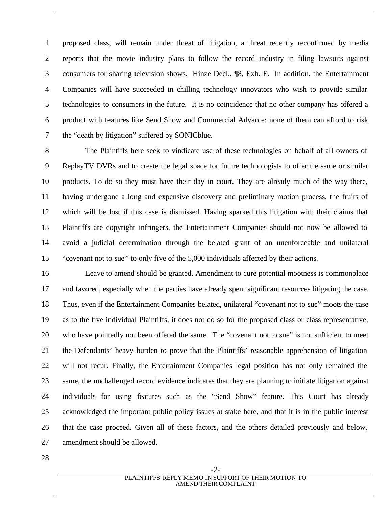proposed class, will remain under threat of litigation, a threat recently reconfirmed by media reports that the movie industry plans to follow the record industry in filing lawsuits against consumers for sharing television shows. Hinze Decl., ¶8, Exh. E. In addition, the Entertainment Companies will have succeeded in chilling technology innovators who wish to provide similar technologies to consumers in the future. It is no coincidence that no other company has offered a product with features like Send Show and Commercial Advance; none of them can afford to risk the "death by litigation" suffered by SONICblue.

8 9 10 11 12 13 14 15 The Plaintiffs here seek to vindicate use of these technologies on behalf of all owners of ReplayTV DVRs and to create the legal space for future technologists to offer the same or similar products. To do so they must have their day in court. They are already much of the way there, having undergone a long and expensive discovery and preliminary motion process, the fruits of which will be lost if this case is dismissed. Having sparked this litigation with their claims that Plaintiffs are copyright infringers, the Entertainment Companies should not now be allowed to avoid a judicial determination through the belated grant of an unenforceable and unilateral "covenant not to sue" to only five of the 5,000 individuals affected by their actions.

16 17 18 19 20 21 22 23 24 25 26 27 Leave to amend should be granted. Amendment to cure potential mootness is commonplace and favored, especially when the parties have already spent significant resources litigating the case. Thus, even if the Entertainment Companies belated, unilateral "covenant not to sue" moots the case as to the five individual Plaintiffs, it does not do so for the proposed class or class representative, who have pointedly not been offered the same. The "covenant not to sue" is not sufficient to meet the Defendants' heavy burden to prove that the Plaintiffs' reasonable apprehension of litigation will not recur. Finally, the Entertainment Companies legal position has not only remained the same, the unchallenged record evidence indicates that they are planning to initiate litigation against individuals for using features such as the "Send Show" feature. This Court has already acknowledged the important public policy issues at stake here, and that it is in the public interest that the case proceed. Given all of these factors, and the others detailed previously and below, amendment should be allowed.

28

1

2

3

4

5

6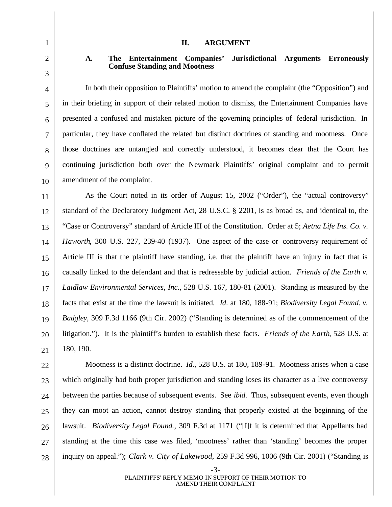### **II. ARGUMENT**

# **A. The Entertainment Companies' Jurisdictional Arguments Erroneously Confuse Standing and Mootness**

In both their opposition to Plaintiffs' motion to amend the complaint (the "Opposition") and in their briefing in support of their related motion to dismiss, the Entertainment Companies have presented a confused and mistaken picture of the governing principles of federal jurisdiction. In particular, they have conflated the related but distinct doctrines of standing and mootness. Once those doctrines are untangled and correctly understood, it becomes clear that the Court has continuing jurisdiction both over the Newmark Plaintiffs' original complaint and to permit amendment of the complaint.

11 12 13 14 15 16 17 18 19 As the Court noted in its order of August 15, 2002 ("Order"), the "actual controversy" standard of the Declaratory Judgment Act, 28 U.S.C. § 2201, is as broad as, and identical to, the "Case or Controversy" standard of Article III of the Constitution. Order at 5; *Aetna Life Ins. Co. v. Haworth*, 300 U.S. 227, 239-40 (1937). One aspect of the case or controversy requirement of Article III is that the plaintiff have standing, i.e. that the plaintiff have an injury in fact that is causally linked to the defendant and that is redressable by judicial action. *Friends of the Earth v. Laidlaw Environmental Services, Inc.*, 528 U.S. 167, 180-81 (2001). Standing is measured by the facts that exist at the time the lawsuit is initiated. *Id*. at 180, 188-91; *Biodiversity Legal Found. v. Badgley*, 309 F.3d 1166 (9th Cir. 2002) ("Standing is determined as of the commencement of the litigation."). It is the plaintiff's burden to establish these facts. *Friends of the Earth*, 528 U.S. at 180, 190.

22 23 24 25 26 27 28 Mootness is a distinct doctrine. *Id.*, 528 U.S. at 180, 189-91. Mootness arises when a case which originally had both proper jurisdiction and standing loses its character as a live controversy between the parties because of subsequent events. See *ibid*. Thus, subsequent events, even though they can moot an action, cannot destroy standing that properly existed at the beginning of the lawsuit. *Biodiversity Legal Found.*, 309 F.3d at 1171 ("[I]f it is determined that Appellants had standing at the time this case was filed, 'mootness' rather than 'standing' becomes the proper inquiry on appeal."); *Clark v. City of Lakewood*, 259 F.3d 996, 1006 (9th Cir. 2001) ("Standing is

20 21

1

2

3

4

5

6

7

8

9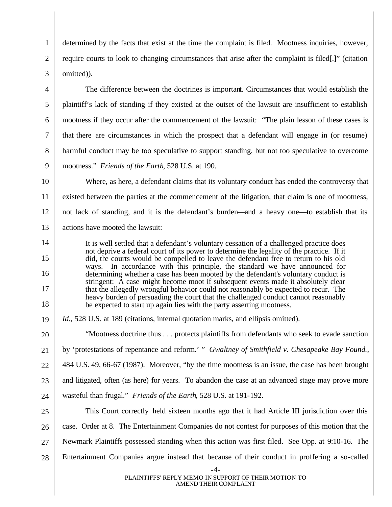determined by the facts that exist at the time the complaint is filed. Mootness inquiries, however, require courts to look to changing circumstances that arise after the complaint is filed[.]" (citation omitted)).

1

2

3

4

5

6

7

8

9

14

15

16

17

18

The difference between the doctrines is important. Circumstances that would establish the plaintiff's lack of standing if they existed at the outset of the lawsuit are insufficient to establish mootness if they occur after the commencement of the lawsuit: "The plain lesson of these cases is that there are circumstances in which the prospect that a defendant will engage in (or resume) harmful conduct may be too speculative to support standing, but not too speculative to overcome mootness." *Friends of the Earth*, 528 U.S. at 190.

10 11 12 13 Where, as here, a defendant claims that its voluntary conduct has ended the controversy that existed between the parties at the commencement of the litigation, that claim is one of mootness, not lack of standing, and it is the defendant's burden—and a heavy one—to establish that its actions have mooted the lawsuit:

It is well settled that a defendant's voluntary cessation of a challenged practice does not deprive a federal court of its power to determine the legality of the practice. If it did, the courts would be compelled to leave the defendant free to return to his old ways. In accordance with this principle, the standard we have announced for determining whether a case has been mooted by the defendant's voluntary conduct is stringent: A case might become moot if subsequent events made it absolutely clear that the allegedly wrongful behavior could not reasonably be expected to recur. The heavy burden of persuading the court that the challenged conduct cannot reasonably be expected to start up again lies with the party asserting mootness.

19 Id., 528 U.S. at 189 (citations, internal quotation marks, and ellipsis omitted).

20 21 22 23 24 25 26 27 "Mootness doctrine thus . . . protects plaintiffs from defendants who seek to evade sanction by 'protestations of repentance and reform.' " *Gwaltney of Smithfield v. Chesapeake Bay Found.*, 484 U.S. 49, 66-67 (1987). Moreover, "by the time mootness is an issue, the case has been brought and litigated, often (as here) for years. To abandon the case at an advanced stage may prove more wasteful than frugal." *Friends of the Earth*, 528 U.S. at 191-192. This Court correctly held sixteen months ago that it had Article III jurisdiction over this case. Order at 8. The Entertainment Companies do not contest for purposes of this motion that the Newmark Plaintiffs possessed standing when this action was first filed. See Opp. at 9:10-16. The

28 Entertainment Companies argue instead that because of their conduct in proffering a so-called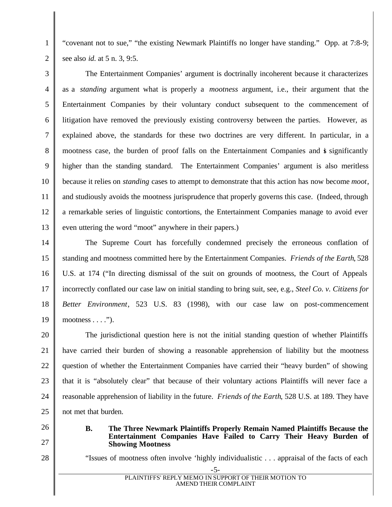"covenant not to sue," "the existing Newmark Plaintiffs no longer have standing." Opp. at 7:8-9; see also *id*. at 5 n. 3, 9:5.

3 4 5 6 7 8 9 10 11 12 13 The Entertainment Companies' argument is doctrinally incoherent because it characterizes as a *standing* argument what is properly a *mootness* argument, i.e., their argument that the Entertainment Companies by their voluntary conduct subsequent to the commencement of litigation have removed the previously existing controversy between the parties. However, as explained above, the standards for these two doctrines are very different. In particular, in a mootness case, the burden of proof falls on the Entertainment Companies and is significantly higher than the standing standard. The Entertainment Companies' argument is also meritless because it relies on *standing* cases to attempt to demonstrate that this action has now become *moot*, and studiously avoids the mootness jurisprudence that properly governs this case. (Indeed, through a remarkable series of linguistic contortions, the Entertainment Companies manage to avoid ever even uttering the word "moot" anywhere in their papers.)

14 15 16 17 18 19 The Supreme Court has forcefully condemned precisely the erroneous conflation of standing and mootness committed here by the Entertainment Companies. *Friends of the Earth*, 528 U.S. at 174 ("In directing dismissal of the suit on grounds of mootness, the Court of Appeals incorrectly conflated our case law on initial standing to bring suit, see, e.g., *Steel Co. v. Citizens for Better Environment*, 523 U.S. 83 (1998), with our case law on post-commencement mootness  $\dots$ .").

20 21 22 23 24 25 The jurisdictional question here is not the initial standing question of whether Plaintiffs have carried their burden of showing a reasonable apprehension of liability but the mootness question of whether the Entertainment Companies have carried their "heavy burden" of showing that it is "absolutely clear" that because of their voluntary actions Plaintiffs will never face a reasonable apprehension of liability in the future. *Friends of the Earth*, 528 U.S. at 189. They have not met that burden.

**Showing Mootness** 

26

1

2

- 
- 27 28

"Issues of mootness often involve 'highly individualistic . . . appraisal of the facts of each

**B. The Three Newmark Plaintiffs Properly Remain Named Plaintiffs Because the** 

**Entertainment Companies Have Failed to Carry Their Heavy Burden of**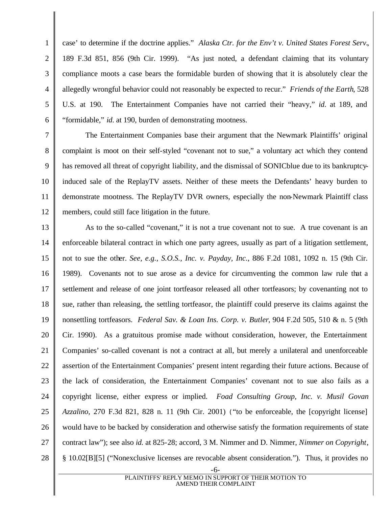case' to determine if the doctrine applies." *Alaska Ctr. for the Env't v. United States Forest Serv.*, 189 F.3d 851, 856 (9th Cir. 1999). "As just noted, a defendant claiming that its voluntary compliance moots a case bears the formidable burden of showing that it is absolutely clear the allegedly wrongful behavior could not reasonably be expected to recur." *Friends of the Earth*, 528 U.S. at 190. The Entertainment Companies have not carried their "heavy," *id*. at 189, and "formidable," *id*. at 190, burden of demonstrating mootness.

1

2

3

4

5

6

7

11

8 9 10 12 The Entertainment Companies base their argument that the Newmark Plaintiffs' original complaint is moot on their self-styled "covenant not to sue," a voluntary act which they contend has removed all threat of copyright liability, and the dismissal of SONICblue due to its bankruptcyinduced sale of the ReplayTV assets. Neither of these meets the Defendants' heavy burden to demonstrate mootness. The ReplayTV DVR owners, especially the non-Newmark Plaintiff class members, could still face litigation in the future.

13 14 15 16 17 18 19 20 21 22 23 24 25 26 27 28 As to the so-called "covenant," it is not a true covenant not to sue. A true covenant is an enforceable bilateral contract in which one party agrees, usually as part of a litigation settlement, not to sue the other. *See, e.g., S.O.S., Inc. v. Payday, Inc.*, 886 F.2d 1081, 1092 n. 15 (9th Cir. 1989). Covenants not to sue arose as a device for circumventing the common law rule that a settlement and release of one joint tortfeasor released all other tortfeasors; by covenanting not to sue, rather than releasing, the settling tortfeasor, the plaintiff could preserve its claims against the nonsettling tortfeasors. *Federal Sav. & Loan Ins. Corp. v. Butler*, 904 F.2d 505, 510 & n. 5 (9th Cir. 1990). As a gratuitous promise made without consideration, however, the Entertainment Companies' so-called covenant is not a contract at all, but merely a unilateral and unenforceable assertion of the Entertainment Companies' present intent regarding their future actions. Because of the lack of consideration, the Entertainment Companies' covenant not to sue also fails as a copyright license, either express or implied. *Foad Consulting Group, Inc. v. Musil Govan Azzalino*, 270 F.3d 821, 828 n. 11 (9th Cir. 2001) ("to be enforceable, the [copyright license] would have to be backed by consideration and otherwise satisfy the formation requirements of state contract law"); see also *id.* at 825-28; accord, 3 M. Nimmer and D. Nimmer, *Nimmer on Copyright*, § 10.02[B][5] ("Nonexclusive licenses are revocable absent consideration."). Thus, it provides no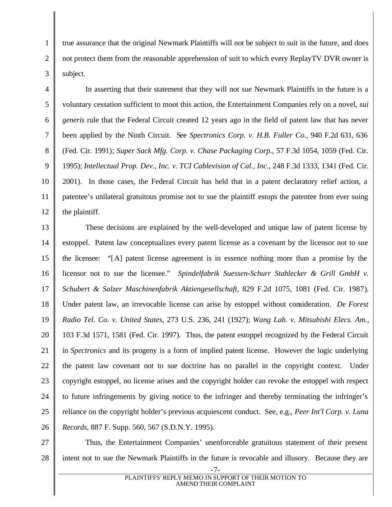true assurance that the original Newmark Plaintiffs will not be subject to suit in the future, and does not protect them from the reasonable apprehension of suit to which every ReplayTV DVR owner is subject.

1

2

3

4

5

6

7

8

9

10

11

12

In asserting that their statement that they will not sue Newmark Plaintiffs in the future is a voluntary cessation sufficient to moot this action, the Entertainment Companies rely on a novel, *sui generis* rule that the Federal Circuit created 12 years ago in the field of patent law that has never been applied by the Ninth Circuit. See *Spectronics Corp. v. H.B. Fuller Co.*, 940 F.2d 631, 636 (Fed. Cir. 1991); *Super Sack Mfg. Corp. v. Chase Packaging Corp.*, 57 F.3d 1054, 1059 (Fed. Cir. 1995); *Intellectual Prop. Dev., Inc. v. TCI Cablevision of Cal., Inc.*, 248 F.3d 1333, 1341 (Fed. Cir. 2001). In those cases, the Federal Circuit has held that in a patent declaratory relief action, a patentee's unilateral gratuitous promise not to sue the plaintiff estops the patentee from ever suing the plaintiff.

13 14 15 16 17 18 19 20 21 22 23 24 25 26 These decisions are explained by the well-developed and unique law of patent license by estoppel. Patent law conceptualizes every patent license as a covenant by the licensor not to sue the licensee: "[A] patent license agreement is in essence nothing more than a promise by the licensor not to sue the licensee." *Spindelfabrik Suessen-Schurr Stahlecker & Grill GmbH v. Schubert & Salzer Maschinenfabrik Aktiengesellschaft*, 829 F.2d 1075, 1081 (Fed. Cir. 1987). Under patent law, an irrevocable license can arise by estoppel without consideration. *De Forest Radio Tel. Co. v. United States*, 273 U.S. 236, 241 (1927); *Wang Lab. v. Mitsubishi Elecs. Am.*, 103 F.3d 1571, 1581 (Fed. Cir. 1997). Thus, the patent estoppel recognized by the Federal Circuit in *Spectronics* and its progeny is a form of implied patent license. However the logic underlying the patent law covenant not to sue doctrine has no parallel in the copyright context. Under copyright estoppel, no license arises and the copyright holder can revoke the estoppel with respect to future infringements by giving notice to the infringer and thereby terminating the infringer's reliance on the copyright holder's previous acquiescent conduct. See, e.g., *Peer Int'l Corp. v. Luna Records*, 887 F. Supp. 560, 567 (S.D.N.Y. 1995).

27 28 Thus, the Entertainment Companies' unenforceable gratuitous statement of their present intent not to sue the Newmark Plaintiffs in the future is revocable and illusory. Because they are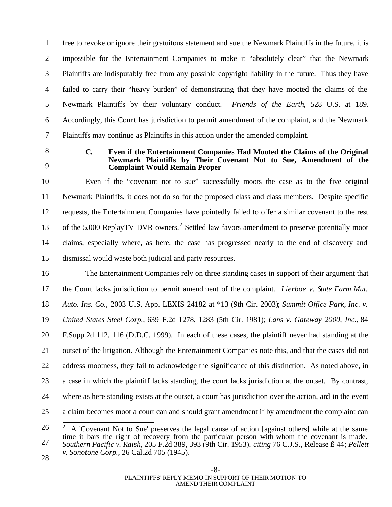free to revoke or ignore their gratuitous statement and sue the Newmark Plaintiffs in the future, it is impossible for the Entertainment Companies to make it "absolutely clear" that the Newmark Plaintiffs are indisputably free from any possible copyright liability in the future. Thus they have failed to carry their "heavy burden" of demonstrating that they have mooted the claims of the Newmark Plaintiffs by their voluntary conduct. *Friends of the Earth*, 528 U.S. at 189. Accordingly, this Court has jurisdiction to permit amendment of the complaint, and the Newmark Plaintiffs may continue as Plaintiffs in this action under the amended complaint.

8 9

1

2

3

4

5

6

7

## **C. Even if the Entertainment Companies Had Mooted the Claims of the Original Newmark Plaintiffs by Their Covenant Not to Sue, Amendment of the Complaint Would Remain Proper**

10 11 12 13 14 15 Even if the "covenant not to sue" successfully moots the case as to the five original Newmark Plaintiffs, it does not do so for the proposed class and class members. Despite specific requests, the Entertainment Companies have pointedly failed to offer a similar covenant to the rest of the 5,000 ReplayTV DVR owners.<sup>2</sup> Settled law favors amendment to preserve potentially moot claims, especially where, as here, the case has progressed nearly to the end of discovery and dismissal would waste both judicial and party resources.

16 17 18 19 20 21 22 23 24 25 The Entertainment Companies rely on three standing cases in support of their argument that the Court lacks jurisdiction to permit amendment of the complaint. *Lierboe v. State Farm Mut. Auto. Ins. Co.*, 2003 U.S. App. LEXIS 24182 at \*13 (9th Cir. 2003); *Summit Office Park, Inc. v. United States Steel Corp.*, 639 F.2d 1278, 1283 (5th Cir. 1981); *Lans v. Gateway 2000, Inc.*, 84 F.Supp.2d 112, 116 (D.D.C. 1999). In each of these cases, the plaintiff never had standing at the outset of the litigation. Although the Entertainment Companies note this, and that the cases did not address mootness, they fail to acknowledge the significance of this distinction. As noted above, in a case in which the plaintiff lacks standing, the court lacks jurisdiction at the outset. By contrast, where as here standing exists at the outset, a court has jurisdiction over the action, and in the event a claim becomes moot a court can and should grant amendment if by amendment the complaint can

26 27  $\overline{\phantom{a}}$ 2 A 'Covenant Not to Sue' preserves the legal cause of action [against others] while at the same time it bars the right of recovery from the particular person with whom the covenant is made. *Southern Pacific v. Raish,* 205 F.2d 389, 393 (9th Cir. 1953), *citing* 76 C.J.S., Release ß 44; *Pellett v. Sonotone Corp.*, 26 Cal.2d 705 (1945).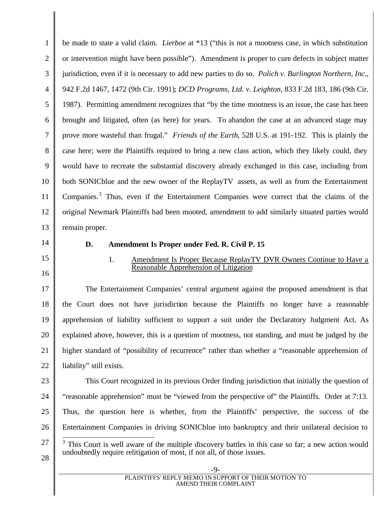1 2 3 4 5 6 7 8 9 10 11 12 13 be made to state a valid claim. *Lierboe* at \*13 ("this is not a mootness case, in which substitution or intervention might have been possible"). Amendment is proper to cure defects in subject matter jurisdiction, even if it is necessary to add new parties to do so. *Polich v. Burlington Northern, Inc.*, 942 F.2d 1467, 1472 (9th Cir. 1991); *DCD Programs, Ltd. v. Leighton*, 833 F.2d 183, 186 (9th Cir. 1987). Permitting amendment recognizes that "by the time mootness is an issue, the case has been brought and litigated, often (as here) for years. To abandon the case at an advanced stage may prove more wasteful than frugal." *Friends of the Earth*, 528 U.S. at 191-192. This is plainly the case here; were the Plaintiffs required to bring a new class action, which they likely could, they would have to recreate the substantial discovery already exchanged in this case, including from both SONICblue and the new owner of the ReplayTV assets, as well as from the Entertainment Companies.<sup>3</sup> Thus, even if the Entertainment Companies were correct that the claims of the original Newmark Plaintiffs had been mooted, amendment to add similarly situated parties would remain proper.

- 14
- 15

16

# **D. Amendment Is Proper under Fed. R. Civil P. 15**

1. Amendment Is Proper Because ReplayTV DVR Owners Continue to Have a Reasonable Apprehension of Litigation

17 18 19 20 21 22 The Entertainment Companies' central argument against the proposed amendment is that the Court does not have jurisdiction because the Plaintiffs no longer have a reasonable apprehension of liability sufficient to support a suit under the Declaratory Judgment Act. As explained above, however, this is a question of mootness, not standing, and must be judged by the higher standard of "possibility of recurrence" rather than whether a "reasonable apprehension of liability" still exists.

23

24 25 26 This Court recognized in its previous Order finding jurisdiction that initially the question of "reasonable apprehension" must be "viewed from the perspective of" the Plaintiffs. Order at 7:13. Thus, the question here is whether, from the Plaintiffs' perspective, the success of the Entertainment Companies in driving SONICblue into bankruptcy and their unilateral decision to

27 <sup>3</sup> This Court is well aware of the multiple discovery battles in this case so far; a new action would undoubtedly require relitigation of most, if not all, of those issues.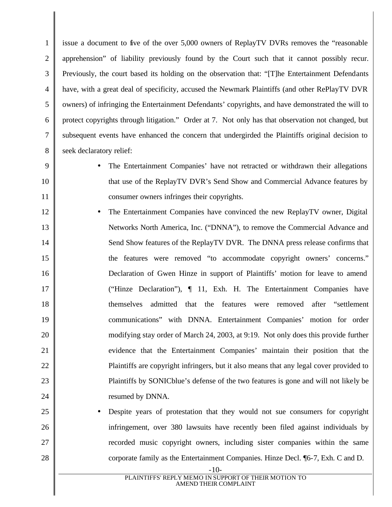1 2 3 4 5 6 7 8 issue a document to five of the over 5,000 owners of ReplayTV DVRs removes the "reasonable apprehension" of liability previously found by the Court such that it cannot possibly recur. Previously, the court based its holding on the observation that: "[T]he Entertainment Defendants have, with a great deal of specificity, accused the Newmark Plaintiffs (and other RePlayTV DVR owners) of infringing the Entertainment Defendants' copyrights, and have demonstrated the will to protect copyrights through litigation." Order at 7. Not only has that observation not changed, but subsequent events have enhanced the concern that undergirded the Plaintiffs original decision to seek declaratory relief:

9

10

11

25

26

27

- The Entertainment Companies' have not retracted or withdrawn their allegations that use of the ReplayTV DVR's Send Show and Commercial Advance features by consumer owners infringes their copyrights.
- 12 13 14 15 16 17 18 19 20 21 22 23 24 • The Entertainment Companies have convinced the new ReplayTV owner, Digital Networks North America, Inc. ("DNNA"), to remove the Commercial Advance and Send Show features of the ReplayTV DVR. The DNNA press release confirms that the features were removed "to accommodate copyright owners' concerns." Declaration of Gwen Hinze in support of Plaintiffs' motion for leave to amend ("Hinze Declaration"), ¶ 11, Exh. H. The Entertainment Companies have themselves admitted that the features were removed after "settlement communications" with DNNA. Entertainment Companies' motion for order modifying stay order of March 24, 2003, at 9:19. Not only does this provide further evidence that the Entertainment Companies' maintain their position that the Plaintiffs are copyright infringers, but it also means that any legal cover provided to Plaintiffs by SONICblue's defense of the two features is gone and will not likely be resumed by DNNA.
	- Despite years of protestation that they would not sue consumers for copyright infringement, over 380 lawsuits have recently been filed against individuals by recorded music copyright owners, including sister companies within the same corporate family as the Entertainment Companies. Hinze Decl. ¶6-7, Exh. C and D.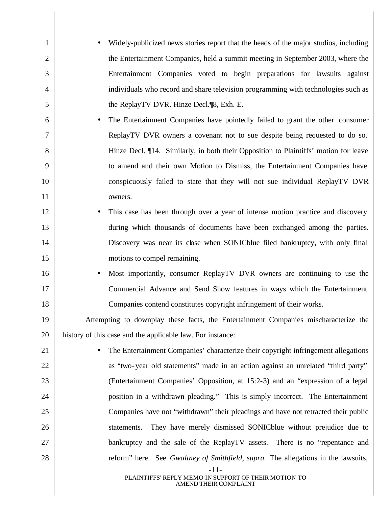| $\mathbf{1}$   | Widely-publicized news stories report that the heads of the major studios, including    |
|----------------|-----------------------------------------------------------------------------------------|
| $\overline{2}$ | the Entertainment Companies, held a summit meeting in September 2003, where the         |
| 3              | Entertainment Companies voted to begin preparations for lawsuits against                |
| $\overline{4}$ | individuals who record and share television programming with technologies such as       |
| 5              | the ReplayTV DVR. Hinze Decl.¶8, Exh. E.                                                |
| 6              | The Entertainment Companies have pointedly failed to grant the other consumer           |
| $\overline{7}$ | ReplayTV DVR owners a covenant not to sue despite being requested to do so.             |
| 8              | Hinze Decl. ¶14. Similarly, in both their Opposition to Plaintiffs' motion for leave    |
| 9              | to amend and their own Motion to Dismiss, the Entertainment Companies have              |
| 10             | conspicuously failed to state that they will not sue individual ReplayTV DVR            |
| 11             | owners.                                                                                 |
| 12             | This case has been through over a year of intense motion practice and discovery         |
| 13             | during which thousands of documents have been exchanged among the parties.              |
| 14             | Discovery was near its close when SONICblue filed bankruptcy, with only final           |
| 15             | motions to compel remaining.                                                            |
| 16             | Most importantly, consumer ReplayTV DVR owners are continuing to use the                |
| 17             | Commercial Advance and Send Show features in ways which the Entertainment               |
| 18             | Companies contend constitutes copyright infringement of their works.                    |
| 19             | Attempting to downplay these facts, the Entertainment Companies mischaracterize the     |
| 20             | history of this case and the applicable law. For instance:                              |
| 21             | The Entertainment Companies' characterize their copyright infringement allegations      |
| 22             | as "two-year old statements" made in an action against an unrelated "third party"       |
| 23             | (Entertainment Companies' Opposition, at 15:2-3) and an "expression of a legal          |
| 24             | position in a withdrawn pleading." This is simply incorrect. The Entertainment          |
| 25             | Companies have not "withdrawn" their pleadings and have not retracted their public      |
| 26             | They have merely dismissed SONICblue without prejudice due to<br>statements.            |
| 27             | bankruptcy and the sale of the ReplayTV assets. There is no "repentance and             |
| 28             | reform" here. See Gwaltney of Smithfield, supra. The allegations in the lawsuits,       |
|                | $-11-$<br>PLAINTIFFS' REPLY MEMO IN SUPPORT OF THEIR MOTION TO<br>AMEND THEIR COMPLAINT |
|                |                                                                                         |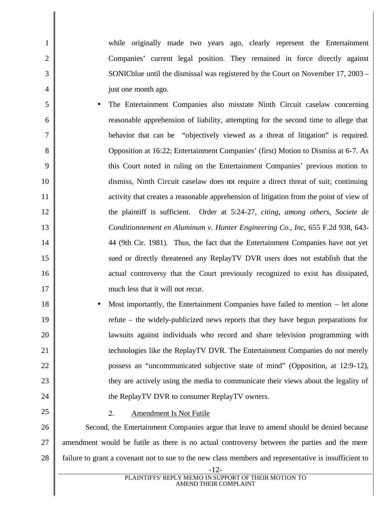while originally made two years ago, clearly represent the Entertainment Companies' current legal position. They remained in force directly against SONICblue until the dismissal was registered by the Court on November 17, 2003 – just one month ago.

- The Entertainment Companies also misstate Ninth Circuit caselaw concerning reasonable apprehension of liability, attempting for the second time to allege that behavior that can be "objectively viewed as a threat of litigation" is required. Opposition at 16:22; Entertainment Companies' (first) Motion to Dismiss at 6-7. As this Court noted in ruling on the Entertainment Companies' previous motion to dismiss, Ninth Circuit caselaw does not require a direct threat of suit; continuing activity that creates a reasonable apprehension of litigation from the point of view of the plaintiff is sufficient. Order at 5:24-27, *citing*, *among others*, *Societe de Conditionnement en Aluminum v. Hunter Engineering Co., Inc,* 655 F.2d 938, 643- 44 (9th Cir. 1981). Thus, the fact that the Entertainment Companies have not yet sued or directly threatened any ReplayTV DVR users does not establish that the actual controversy that the Court previously recognized to exist has dissipated, much less that it will not recur.
	- Most importantly, the Entertainment Companies have failed to mention  $-$  let alone refute – the widely-publicized news reports that they have begun preparations for lawsuits against individuals who record and share television programming with technologies like the ReplayTV DVR. The Entertainment Companies do not merely possess an "uncommunicated subjective state of mind" (Opposition, at 12:9-12), they are actively using the media to communicate their views about the legality of the ReplayTV DVR to consumer ReplayTV owners.

## 2. Amendment Is Not Futile

1

2

3

4

5

6

7

8

9

10

11

12

13

14

15

16

17

18

19

20

21

22

23

24

25

26 27 28 Second, the Entertainment Companies argue that leave to amend should be denied because amendment would be futile as there is no actual controversy between the parties and the mere failure to grant a covenant not to sue to the new class members and representative is insufficient to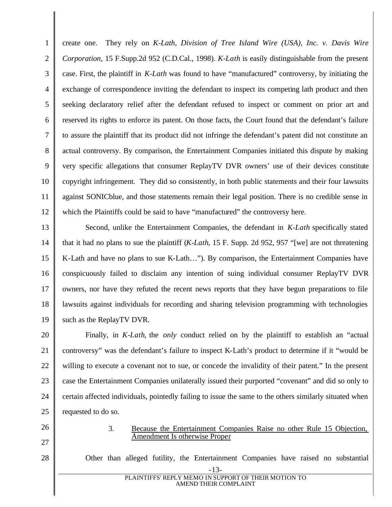1 2 3 4 5 6 7 8 9 10 11 12 create one. They rely on *K-Lath, Division of Tree Island Wire (USA), Inc. v. Davis Wire Corporation,* 15 F.Supp.2d 952 (C.D.Cal., 1998). *K-Lath* is easily distinguishable from the present case. First, the plaintiff in *K-Lath* was found to have "manufactured" controversy, by initiating the exchange of correspondence inviting the defendant to inspect its competing lath product and then seeking declaratory relief after the defendant refused to inspect or comment on prior art and reserved its rights to enforce its patent. On those facts, the Court found that the defendant's failure to assure the plaintiff that its product did not infringe the defendant's patent did not constitute an actual controversy. By comparison, the Entertainment Companies initiated this dispute by making very specific allegations that consumer ReplayTV DVR owners' use of their devices constitute copyright infringement. They did so consistently, in both public statements and their four lawsuits against SONICblue, and those statements remain their legal position. There is no credible sense in which the Plaintiffs could be said to have "manufactured" the controversy here.

13 14 15 16 17 18 19 Second, unlike the Entertainment Companies, the defendant in *K-Lath* specifically stated that it had no plans to sue the plaintiff (*K-Lath*, 15 F. Supp. 2d 952, 957 "[we] are not threatening K-Lath and have no plans to sue K-Lath…"). By comparison, the Entertainment Companies have conspicuously failed to disclaim any intention of suing individual consumer ReplayTV DVR owners, nor have they refuted the recent news reports that they have begun preparations to file lawsuits against individuals for recording and sharing television programming with technologies such as the ReplayTV DVR.

20 21 22 23 24 25 Finally, in *K-Lath*, the *only* conduct relied on by the plaintiff to establish an "actual controversy" was the defendant's failure to inspect K-Lath's product to determine if it "would be willing to execute a covenant not to sue, or concede the invalidity of their patent." In the present case the Entertainment Companies unilaterally issued their purported "covenant" and did so only to certain affected individuals, pointedly failing to issue the same to the others similarly situated when requested to do so.

Amendment Is otherwise Proper

- 26
- 27
- 28

Other than alleged futility, the Entertainment Companies have raised no substantial

3. Because the Entertainment Companies Raise no other Rule 15 Objection,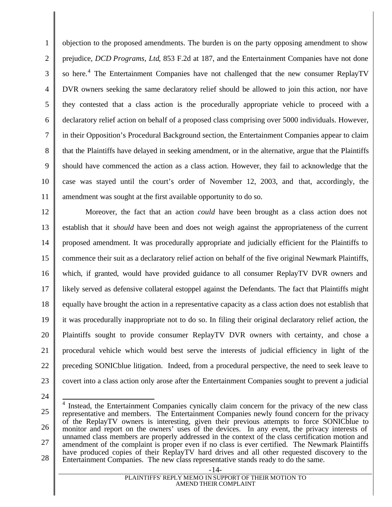1 2 3 4 5 6 7 8 9 10 11 objection to the proposed amendments. The burden is on the party opposing amendment to show prejudice, *DCD Programs, Ltd*, 853 F.2d at 187, and the Entertainment Companies have not done so here.<sup>4</sup> The Entertainment Companies have not challenged that the new consumer ReplayTV DVR owners seeking the same declaratory relief should be allowed to join this action, nor have they contested that a class action is the procedurally appropriate vehicle to proceed with a declaratory relief action on behalf of a proposed class comprising over 5000 individuals. However, in their Opposition's Procedural Background section, the Entertainment Companies appear to claim that the Plaintiffs have delayed in seeking amendment, or in the alternative, argue that the Plaintiffs should have commenced the action as a class action. However, they fail to acknowledge that the case was stayed until the court's order of November 12, 2003, and that, accordingly, the amendment was sought at the first available opportunity to do so.

12 13 14 15 16 17 18 19 20 21 22 23 Moreover, the fact that an action *could* have been brought as a class action does not establish that it *should* have been and does not weigh against the appropriateness of the current proposed amendment. It was procedurally appropriate and judicially efficient for the Plaintiffs to commence their suit as a declaratory relief action on behalf of the five original Newmark Plaintiffs, which, if granted, would have provided guidance to all consumer ReplayTV DVR owners and likely served as defensive collateral estoppel against the Defendants. The fact that Plaintiffs might equally have brought the action in a representative capacity as a class action does not establish that it was procedurally inappropriate not to do so. In filing their original declaratory relief action, the Plaintiffs sought to provide consumer ReplayTV DVR owners with certainty, and chose a procedural vehicle which would best serve the interests of judicial efficiency in light of the preceding SONICblue litigation. Indeed, from a procedural perspective, the need to seek leave to covert into a class action only arose after the Entertainment Companies sought to prevent a judicial

<sup>25</sup> 26 27 28 <sup>4</sup> Instead, the Entertainment Companies cynically claim concern for the privacy of the new class representative and members. The Entertainment Companies newly found concern for the privacy of the ReplayTV owners is interesting, given their previous attempts to force SONICblue to monitor and report on the owners' uses of the devices. In any event, the privacy interests of unnamed class members are properly addressed in the context of the class certification motion and amendment of the complaint is proper even if no class is ever certified. The Newmark Plaintiffs have produced copies of their ReplayTV hard drives and all other requested discovery to the Entertainment Companies. The new class representative stands ready to do the same.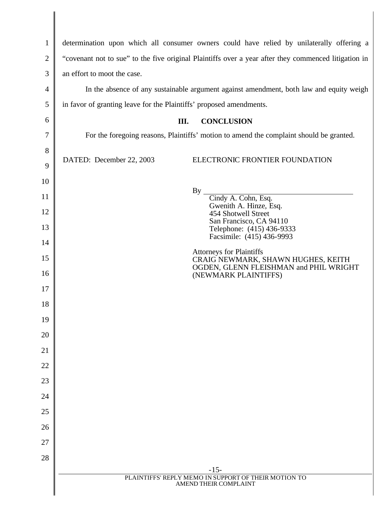| $\mathbf{1}$   | determination upon which all consumer owners could have relied by unilaterally offering a            |  |
|----------------|------------------------------------------------------------------------------------------------------|--|
| $\mathbf{2}$   | "covenant not to sue" to the five original Plaintiffs over a year after they commenced litigation in |  |
| 3              | an effort to moot the case.                                                                          |  |
| $\overline{4}$ | In the absence of any sustainable argument against amendment, both law and equity weigh              |  |
| 5              | in favor of granting leave for the Plaintiffs' proposed amendments.                                  |  |
| 6              | <b>CONCLUSION</b><br>Ш.                                                                              |  |
| 7              | For the foregoing reasons, Plaintiffs' motion to amend the complaint should be granted.              |  |
| 8              |                                                                                                      |  |
| 9              | DATED: December 22, 2003<br>ELECTRONIC FRONTIER FOUNDATION                                           |  |
| 10             |                                                                                                      |  |
| 11             | By<br>Cindy A. Cohn, Esq.<br>Gwenith A. Hinze, Esq.                                                  |  |
| 12             | 454 Shotwell Street<br>San Francisco, CA 94110                                                       |  |
| 13             | Telephone: (415) 436-9333<br>Facsimile: (415) 436-9993                                               |  |
| 14             | <b>Attorneys for Plaintiffs</b>                                                                      |  |
| 15             | CRAIG NEWMARK, SHAWN HUGHES, KEITH<br>OGDEN, GLENN FLEISHMAN and PHIL WRIGHT                         |  |
| 16             | (NEWMARK PLAINTIFFS)                                                                                 |  |
| 17             |                                                                                                      |  |
| 18             |                                                                                                      |  |
| 19<br>20       |                                                                                                      |  |
| 21             |                                                                                                      |  |
| 22             |                                                                                                      |  |
| 23             |                                                                                                      |  |
| 24             |                                                                                                      |  |
| 25             |                                                                                                      |  |
| 26             |                                                                                                      |  |
| 27             |                                                                                                      |  |
| 28             |                                                                                                      |  |
|                | $-15-$<br>PLAINTIFFS' REPLY MEMO IN SUPPORT OF THEIR MOTION TO                                       |  |
|                | AMEND THEIR COMPLAINT                                                                                |  |

∥